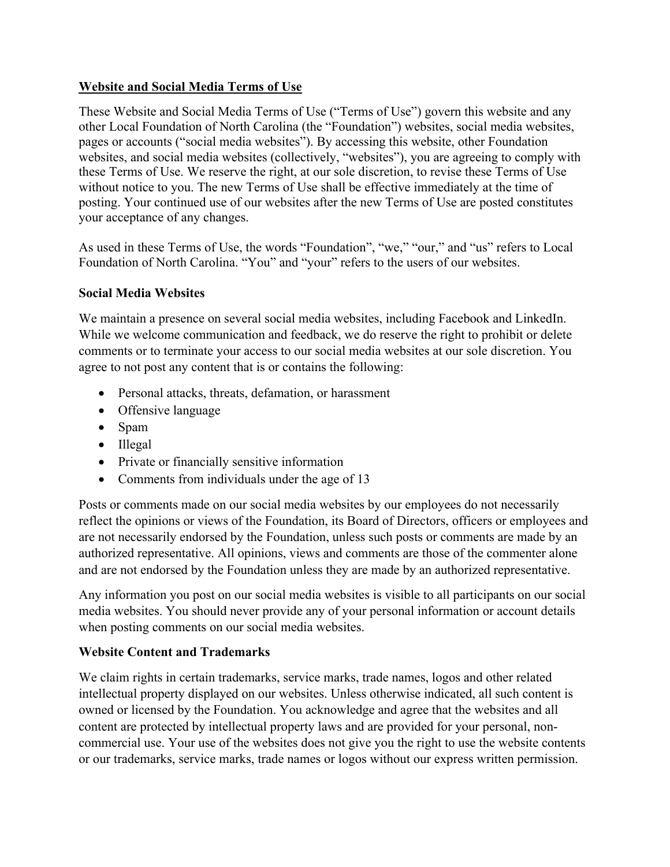#### **Website and Social Media Terms of Use**

 pages or accounts ("social media websites"). By accessing this website, other Foundation These Website and Social Media Terms of Use ("Terms of Use") govern this website and any other Local Foundation of North Carolina (the "Foundation") websites, social media websites, websites, and social media websites (collectively, "websites"), you are agreeing to comply with these Terms of Use. We reserve the right, at our sole discretion, to revise these Terms of Use without notice to you. The new Terms of Use shall be effective immediately at the time of posting. Your continued use of our websites after the new Terms of Use are posted constitutes your acceptance of any changes.

As used in these Terms of Use, the words "Foundation", "we," "our," and "us" refers to Local Foundation of North Carolina. "You" and "your" refers to the users of our websites.

#### **Social Media Websites**

 We maintain a presence on several social media websites, including Facebook and LinkedIn. While we welcome communication and feedback, we do reserve the right to prohibit or delete comments or to terminate your access to our social media websites at our sole discretion. You agree to not post any content that is or contains the following:

- Personal attacks, threats, defamation, or harassment
- Offensive language
- Spam
- Illegal
- Private or financially sensitive information
- Comments from individuals under the age of 13

 reflect the opinions or views of the Foundation, its Board of Directors, officers or employees and Posts or comments made on our social media websites by our employees do not necessarily are not necessarily endorsed by the Foundation, unless such posts or comments are made by an authorized representative. All opinions, views and comments are those of the commenter alone

 and are not endorsed by the Foundation unless they are made by an authorized representative. Any information you post on our social media websites is visible to all participants on our social media websites. You should never provide any of your personal information or account details when posting comments on our social media websites.

## **Website Content and Trademarks**

 owned or licensed by the Foundation. You acknowledge and agree that the websites and all We claim rights in certain trademarks, service marks, trade names, logos and other related intellectual property displayed on our websites. Unless otherwise indicated, all such content is content are protected by intellectual property laws and are provided for your personal, noncommercial use. Your use of the websites does not give you the right to use the website contents or our trademarks, service marks, trade names or logos without our express written permission.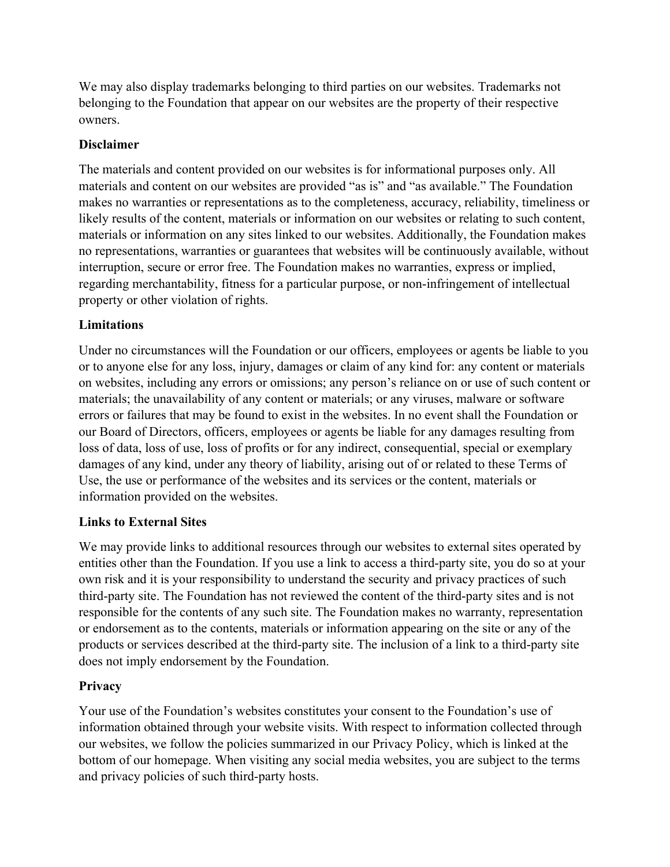We may also display trademarks belonging to third parties on our websites. Trademarks not belonging to the Foundation that appear on our websites are the property of their respective owners.

#### **Disclaimer**

 The materials and content provided on our websites is for informational purposes only. All materials and content on our websites are provided "as is" and "as available." The Foundation property or other violation of rights. makes no warranties or representations as to the completeness, accuracy, reliability, timeliness or likely results of the content, materials or information on our websites or relating to such content, materials or information on any sites linked to our websites. Additionally, the Foundation makes no representations, warranties or guarantees that websites will be continuously available, without interruption, secure or error free. The Foundation makes no warranties, express or implied, regarding merchantability, fitness for a particular purpose, or non-infringement of intellectual

## **Limitations**

 Under no circumstances will the Foundation or our officers, employees or agents be liable to you on websites, including any errors or omissions; any person's reliance on or use of such content or materials; the unavailability of any content or materials; or any viruses, malware or software Use, the use or performance of the websites and its services or the content, materials or or to anyone else for any loss, injury, damages or claim of any kind for: any content or materials errors or failures that may be found to exist in the websites. In no event shall the Foundation or our Board of Directors, officers, employees or agents be liable for any damages resulting from loss of data, loss of use, loss of profits or for any indirect, consequential, special or exemplary damages of any kind, under any theory of liability, arising out of or related to these Terms of information provided on the websites.

## **Links to External Sites**

 We may provide links to additional resources through our websites to external sites operated by entities other than the Foundation. If you use a link to access a third-party site, you do so at your third-party site. The Foundation has not reviewed the content of the third-party sites and is not or endorsement as to the contents, materials or information appearing on the site or any of the own risk and it is your responsibility to understand the security and privacy practices of such responsible for the contents of any such site. The Foundation makes no warranty, representation products or services described at the third-party site. The inclusion of a link to a third-party site does not imply endorsement by the Foundation.

## **Privacy**

 our websites, we follow the policies summarized in our Privacy Policy, which is linked at the Your use of the Foundation's websites constitutes your consent to the Foundation's use of information obtained through your website visits. With respect to information collected through bottom of our homepage. When visiting any social media websites, you are subject to the terms and privacy policies of such third-party hosts.